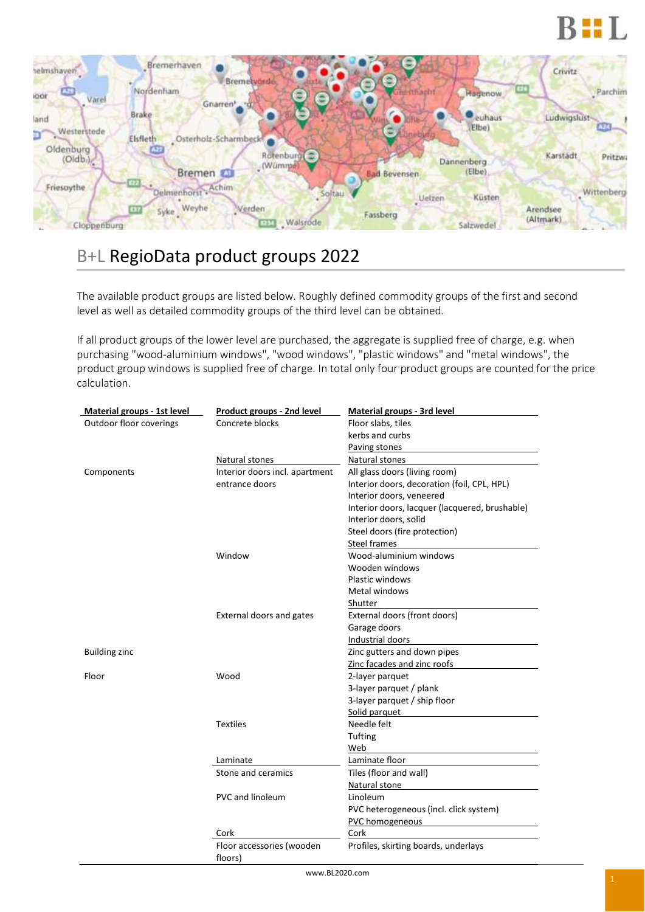



## B+L RegioData product groups 2022

The available product groups are listed below. Roughly defined commodity groups of the first and second level as well as detailed commodity groups of the third level can be obtained.

If all product groups of the lower level are purchased, the aggregate is supplied free of charge, e.g. when purchasing "wood-aluminium windows", "wood windows", "plastic windows" and "metal windows", the product group windows is supplied free of charge. In total only four product groups are counted for the price calculation.

| Material groups - 1st level | Product groups - 2nd level     | Material groups - 3rd level                    |
|-----------------------------|--------------------------------|------------------------------------------------|
| Outdoor floor coverings     | Concrete blocks                | Floor slabs, tiles                             |
|                             |                                | kerbs and curbs                                |
|                             |                                | Paving stones                                  |
|                             | Natural stones                 | Natural stones                                 |
| Components                  | Interior doors incl. apartment | All glass doors (living room)                  |
|                             | entrance doors                 | Interior doors, decoration (foil, CPL, HPL)    |
|                             |                                | Interior doors, veneered                       |
|                             |                                | Interior doors, lacquer (lacquered, brushable) |
|                             |                                | Interior doors, solid                          |
|                             |                                | Steel doors (fire protection)                  |
|                             |                                | <b>Steel frames</b>                            |
|                             | Window                         | Wood-aluminium windows                         |
|                             |                                | Wooden windows                                 |
|                             |                                | Plastic windows                                |
|                             |                                | Metal windows                                  |
|                             |                                | Shutter                                        |
|                             | External doors and gates       | External doors (front doors)                   |
|                             |                                | Garage doors                                   |
|                             |                                | Industrial doors                               |
| <b>Building zinc</b>        |                                | Zinc gutters and down pipes                    |
|                             |                                | Zinc facades and zinc roofs                    |
| Floor                       | Wood                           | 2-layer parquet                                |
|                             |                                | 3-layer parquet / plank                        |
|                             |                                | 3-layer parquet / ship floor                   |
|                             |                                | Solid parquet                                  |
|                             | <b>Textiles</b>                | Needle felt                                    |
|                             |                                | Tufting                                        |
|                             |                                | Web                                            |
|                             | Laminate                       | Laminate floor                                 |
|                             | Stone and ceramics             | Tiles (floor and wall)                         |
|                             |                                | Natural stone                                  |
|                             | <b>PVC and linoleum</b>        | Linoleum                                       |
|                             |                                | PVC heterogeneous (incl. click system)         |
|                             |                                | PVC homogeneous                                |
|                             | Cork                           | Cork                                           |
|                             | Floor accessories (wooden      | Profiles, skirting boards, underlays           |
|                             | floors)                        |                                                |